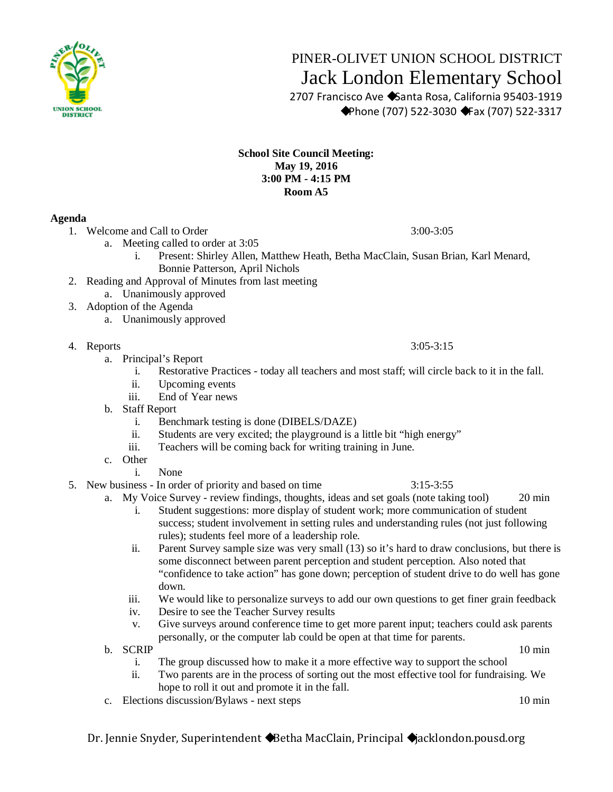

## PINER-OLIVET UNION SCHOOL DISTRICT Jack London Elementary School

 2707 Francisco Ave ◆Santa Rosa, California 95403-1919 ◆Phone (707) 522-3030 ◆Fax (707) 522-3317

## **School Site Council Meeting: May 19, 2016 3:00 PM - 4:15 PM Room A5**

## **Agenda**

- 1. Welcome and Call to Order 3:00-3:05
	- a. Meeting called to order at 3:05
		- i. Present: Shirley Allen, Matthew Heath, Betha MacClain, Susan Brian, Karl Menard, Bonnie Patterson, April Nichols
- 2. Reading and Approval of Minutes from last meeting
	- a. Unanimously approved
- 3. Adoption of the Agenda
	- a. Unanimously approved
- 4. Reports 3:05-3:15
	- a. Principal's Report
		- i. Restorative Practices today all teachers and most staff; will circle back to it in the fall.
		- ii. Upcoming events
		- iii. End of Year news
	- b. Staff Report
		- i. Benchmark testing is done (DIBELS/DAZE)
		- ii. Students are very excited; the playground is a little bit "high energy"
		- iii. Teachers will be coming back for writing training in June.
	- c. Other
		- i. None
- 5. New business In order of priority and based on time 3:15-3:55
	- a. My Voice Survey review findings, thoughts, ideas and set goals (note taking tool) 20 min i. Student suggestions: more display of student work; more communication of student
		- success; student involvement in setting rules and understanding rules (not just following rules); students feel more of a leadership role.
		- ii. Parent Survey sample size was very small (13) so it's hard to draw conclusions, but there is some disconnect between parent perception and student perception. Also noted that "confidence to take action" has gone down; perception of student drive to do well has gone down.
		- iii. We would like to personalize surveys to add our own questions to get finer grain feedback
		- iv. Desire to see the Teacher Survey results
		- v. Give surveys around conference time to get more parent input; teachers could ask parents personally, or the computer lab could be open at that time for parents.
	- b. SCRIP 10 min
		- i. The group discussed how to make it a more effective way to support the school
		- ii. Two parents are in the process of sorting out the most effective tool for fundraising. We hope to roll it out and promote it in the fall.
	- c. Elections discussion/Bylaws next steps 10 min

Dr. Jennie Snyder, Superintendent ◆Betha MacClain, Principal ◆jacklondon.pousd.org